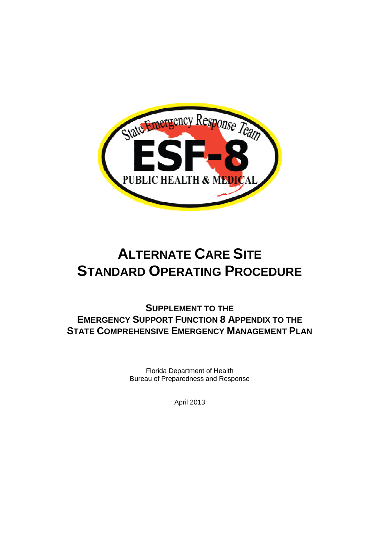

# **ALTERNATE CARE SITE STANDARD OPERATING PROCEDURE**

**SUPPLEMENT TO THE EMERGENCY SUPPORT FUNCTION 8 APPENDIX TO THE STATE COMPREHENSIVE EMERGENCY MANAGEMENT PLAN**

> Florida Department of Health Bureau of Preparedness and Response

> > April 2013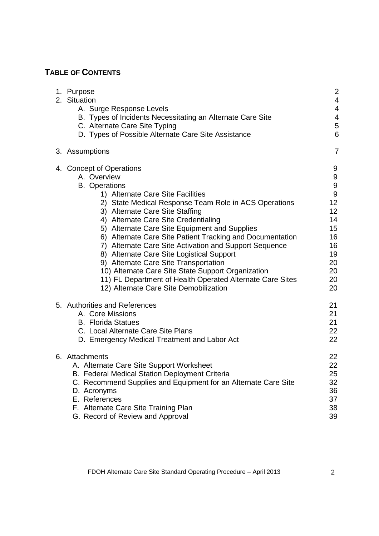# **TABLE OF CONTENTS**

| 1. Purpose<br>2. Situation<br>A. Surge Response Levels<br>B. Types of Incidents Necessitating an Alternate Care Site<br>C. Alternate Care Site Typing<br>D. Types of Possible Alternate Care Site Assistance                                                                                                                                                                                                                                                                                                                                                                                                                                                        | $\overline{c}$<br>$\overline{4}$<br>$\overline{4}$<br>$\overline{\mathcal{A}}$<br>5<br>6                         |
|---------------------------------------------------------------------------------------------------------------------------------------------------------------------------------------------------------------------------------------------------------------------------------------------------------------------------------------------------------------------------------------------------------------------------------------------------------------------------------------------------------------------------------------------------------------------------------------------------------------------------------------------------------------------|------------------------------------------------------------------------------------------------------------------|
| 3. Assumptions                                                                                                                                                                                                                                                                                                                                                                                                                                                                                                                                                                                                                                                      | $\overline{7}$                                                                                                   |
| 4. Concept of Operations<br>A. Overview<br><b>B.</b> Operations<br>1) Alternate Care Site Facilities<br>2) State Medical Response Team Role in ACS Operations<br>3) Alternate Care Site Staffing<br>4) Alternate Care Site Credentialing<br>5) Alternate Care Site Equipment and Supplies<br>6) Alternate Care Site Patient Tracking and Documentation<br>7) Alternate Care Site Activation and Support Sequence<br>8) Alternate Care Site Logistical Support<br>9) Alternate Care Site Transportation<br>10) Alternate Care Site State Support Organization<br>11) FL Department of Health Operated Alternate Care Sites<br>12) Alternate Care Site Demobilization | 9<br>9<br>$\boldsymbol{9}$<br>$\boldsymbol{9}$<br>12<br>12<br>14<br>15<br>16<br>16<br>19<br>20<br>20<br>20<br>20 |
| 5. Authorities and References<br>A. Core Missions<br><b>B.</b> Florida Statues<br>C. Local Alternate Care Site Plans<br>D. Emergency Medical Treatment and Labor Act                                                                                                                                                                                                                                                                                                                                                                                                                                                                                                | 21<br>21<br>21<br>22<br>22                                                                                       |
| 6. Attachments<br>A. Alternate Care Site Support Worksheet<br>B. Federal Medical Station Deployment Criteria<br>C. Recommend Supplies and Equipment for an Alternate Care Site<br>D. Acronyms<br>E. References<br>F. Alternate Care Site Training Plan<br>G. Record of Review and Approval                                                                                                                                                                                                                                                                                                                                                                          | 22<br>22<br>25<br>32<br>36<br>37<br>38<br>39                                                                     |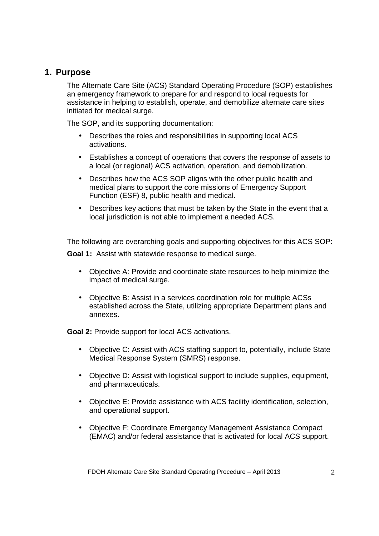### **1. Purpose**

The Alternate Care Site (ACS) Standard Operating Procedure (SOP) establishes an emergency framework to prepare for and respond to local requests for assistance in helping to establish, operate, and demobilize alternate care sites initiated for medical surge.

The SOP, and its supporting documentation:

- Describes the roles and responsibilities in supporting local ACS activations.
- Establishes a concept of operations that covers the response of assets to a local (or regional) ACS activation, operation, and demobilization.
- Describes how the ACS SOP aligns with the other public health and medical plans to support the core missions of Emergency Support Function (ESF) 8, public health and medical.
- Describes key actions that must be taken by the State in the event that a local jurisdiction is not able to implement a needed ACS.

The following are overarching goals and supporting objectives for this ACS SOP: **Goal 1:** Assist with statewide response to medical surge.

- Objective A: Provide and coordinate state resources to help minimize the impact of medical surge.
- Objective B: Assist in a services coordination role for multiple ACSs established across the State, utilizing appropriate Department plans and annexes.

**Goal 2:** Provide support for local ACS activations.

- Objective C: Assist with ACS staffing support to, potentially, include State Medical Response System (SMRS) response.
- Objective D: Assist with logistical support to include supplies, equipment, and pharmaceuticals.
- Objective E: Provide assistance with ACS facility identification, selection, and operational support.
- Objective F: Coordinate Emergency Management Assistance Compact (EMAC) and/or federal assistance that is activated for local ACS support.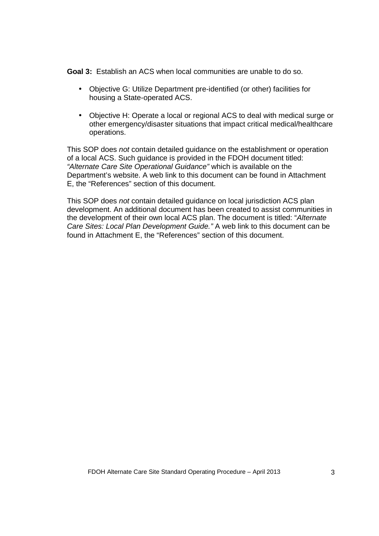**Goal 3:** Establish an ACS when local communities are unable to do so.

- Objective G: Utilize Department pre-identified (or other) facilities for housing a State-operated ACS.
- Objective H: Operate a local or regional ACS to deal with medical surge or other emergency/disaster situations that impact critical medical/healthcare operations.

This SOP does not contain detailed guidance on the establishment or operation of a local ACS. Such guidance is provided in the FDOH document titled: "Alternate Care Site Operational Guidance" which is available on the Department's website. A web link to this document can be found in Attachment E, the "References" section of this document.

This SOP does not contain detailed guidance on local jurisdiction ACS plan development. An additional document has been created to assist communities in the development of their own local ACS plan. The document is titled: "Alternate Care Sites: Local Plan Development Guide." A web link to this document can be found in Attachment E, the "References" section of this document.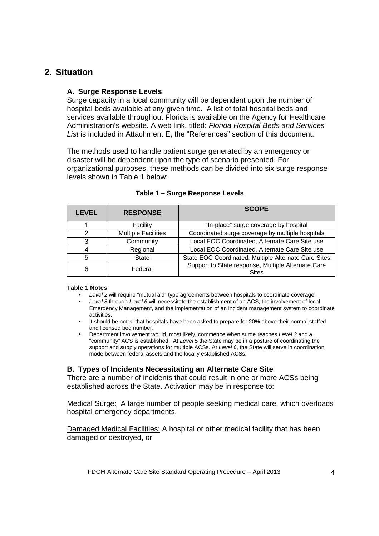## **2. Situation**

### **A. Surge Response Levels**

Surge capacity in a local community will be dependent upon the number of hospital beds available at any given time. A list of total hospital beds and services available throughout Florida is available on the Agency for Healthcare Administration's website. A web link, titled: Florida Hospital Beds and Services List is included in Attachment E, the "References" section of this document.

The methods used to handle patient surge generated by an emergency or disaster will be dependent upon the type of scenario presented. For organizational purposes, these methods can be divided into six surge response levels shown in Table 1 below:

| LEVEL | <b>RESPONSE</b>            | <b>SCOPE</b>                                                       |  |
|-------|----------------------------|--------------------------------------------------------------------|--|
|       | Facility                   | "In-place" surge coverage by hospital                              |  |
|       | <b>Multiple Facilities</b> | Coordinated surge coverage by multiple hospitals                   |  |
|       | Community                  | Local EOC Coordinated, Alternate Care Site use                     |  |
|       | Regional                   | Local EOC Coordinated, Alternate Care Site use                     |  |
| 5     | State                      | State EOC Coordinated, Multiple Alternate Care Sites               |  |
| 6     | Federal                    | Support to State response, Multiple Alternate Care<br><b>Sites</b> |  |

#### **Table 1 – Surge Response Levels**

#### **Table 1 Notes**

- Level 2 will require "mutual aid" type agreements between hospitals to coordinate coverage.
- Level 3 through Level 6 will necessitate the establishment of an ACS, the involvement of local Emergency Management, and the implementation of an incident management system to coordinate activities.
- It should be noted that hospitals have been asked to prepare for 20% above their normal staffed and licensed bed number.
- Department involvement would, most likely, commence when surge reaches Level 3 and a "community" ACS is established. At Level 5 the State may be in a posture of coordinating the support and supply operations for multiple ACSs. At Level 6, the State will serve in coordination mode between federal assets and the locally established ACSs.

### **B. Types of Incidents Necessitating an Alternate Care Site**

There are a number of incidents that could result in one or more ACSs being established across the State. Activation may be in response to:

Medical Surge: A large number of people seeking medical care, which overloads hospital emergency departments,

Damaged Medical Facilities: A hospital or other medical facility that has been damaged or destroyed, or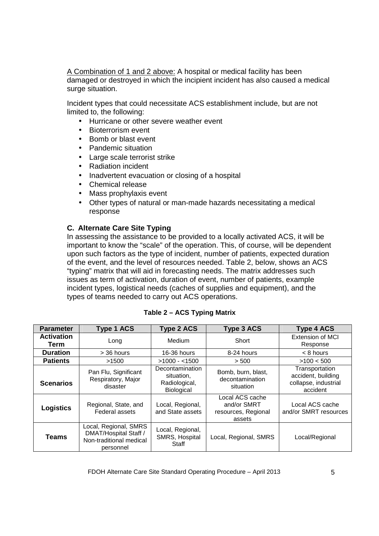A Combination of 1 and 2 above: A hospital or medical facility has been damaged or destroyed in which the incipient incident has also caused a medical surge situation.

Incident types that could necessitate ACS establishment include, but are not limited to, the following:

- Hurricane or other severe weather event
- Bioterrorism event
- Bomb or blast event
- Pandemic situation
- Large scale terrorist strike
- Radiation incident
- Inadvertent evacuation or closing of a hospital
- Chemical release
- Mass prophylaxis event
- Other types of natural or man-made hazards necessitating a medical response

### **C. Alternate Care Site Typing**

In assessing the assistance to be provided to a locally activated ACS, it will be important to know the "scale" of the operation. This, of course, will be dependent upon such factors as the type of incident, number of patients, expected duration of the event, and the level of resources needed. Table 2, below, shows an ACS "typing" matrix that will aid in forecasting needs. The matrix addresses such issues as term of activation, duration of event, number of patients, example incident types, logistical needs (caches of supplies and equipment), and the types of teams needed to carry out ACS operations.

| <b>Parameter</b>          | <b>Type 1 ACS</b>                                                                                                                                                                   | <b>Type 2 ACS</b>                           | <b>Type 3 ACS</b>                                               | <b>Type 4 ACS</b>                                                        |
|---------------------------|-------------------------------------------------------------------------------------------------------------------------------------------------------------------------------------|---------------------------------------------|-----------------------------------------------------------------|--------------------------------------------------------------------------|
| <b>Activation</b><br>Term | Long                                                                                                                                                                                | Medium                                      | Short                                                           | <b>Extension of MCI</b><br>Response                                      |
| <b>Duration</b>           | > 36 hours                                                                                                                                                                          | 16-36 hours                                 | 8-24 hours                                                      | $< 8$ hours                                                              |
| <b>Patients</b>           | >1500                                                                                                                                                                               | $>1000 - 1500$                              | > 500                                                           | >100 < 500                                                               |
| <b>Scenarios</b>          | Decontamination<br>Bomb, burn, blast,<br>Pan Flu, Significant<br>situation,<br>Respiratory, Major<br>decontamination<br>Radiological,<br>disaster<br>situation<br><b>Biological</b> |                                             |                                                                 | Transportation<br>accident, building<br>collapse, industrial<br>accident |
| <b>Logistics</b>          | Regional, State, and<br><b>Federal assets</b>                                                                                                                                       | Local, Regional,<br>and State assets        | Local ACS cache<br>and/or SMRT<br>resources, Regional<br>assets | Local ACS cache<br>and/or SMRT resources                                 |
| <b>Teams</b>              | Local, Regional, SMRS<br>DMAT/Hospital Staff /<br>Non-traditional medical<br>personnel                                                                                              | Local, Regional,<br>SMRS, Hospital<br>Staff | Local, Regional, SMRS                                           | Local/Regional                                                           |

### **Table 2 – ACS Typing Matrix**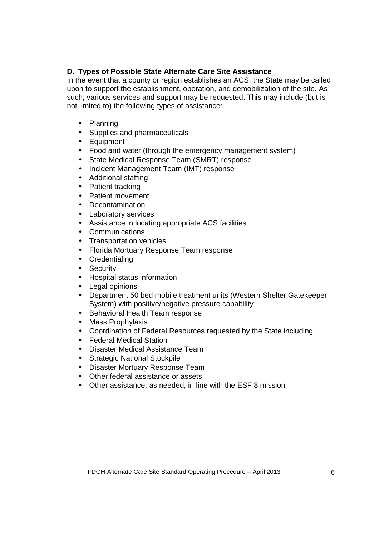### **D. Types of Possible State Alternate Care Site Assistance**

In the event that a county or region establishes an ACS, the State may be called upon to support the establishment, operation, and demobilization of the site. As such, various services and support may be requested. This may include (but is not limited to) the following types of assistance:

- Planning
- Supplies and pharmaceuticals
- Equipment
- Food and water (through the emergency management system)
- State Medical Response Team (SMRT) response
- Incident Management Team (IMT) response
- Additional staffing
- Patient tracking
- Patient movement
- Decontamination
- Laboratory services
- Assistance in locating appropriate ACS facilities
- Communications
- Transportation vehicles
- Florida Mortuary Response Team response
- Credentialing
- Security
- Hospital status information
- Legal opinions
- Department 50 bed mobile treatment units (Western Shelter Gatekeeper System) with positive/negative pressure capability
- Behavioral Health Team response
- Mass Prophylaxis
- Coordination of Federal Resources requested by the State including:
- Federal Medical Station
- Disaster Medical Assistance Team
- Strategic National Stockpile
- Disaster Mortuary Response Team
- Other federal assistance or assets
- Other assistance, as needed, in line with the ESF 8 mission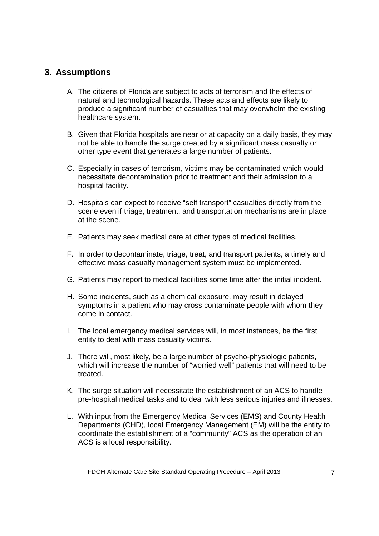### **3. Assumptions**

- A. The citizens of Florida are subject to acts of terrorism and the effects of natural and technological hazards. These acts and effects are likely to produce a significant number of casualties that may overwhelm the existing healthcare system.
- B. Given that Florida hospitals are near or at capacity on a daily basis, they may not be able to handle the surge created by a significant mass casualty or other type event that generates a large number of patients.
- C. Especially in cases of terrorism, victims may be contaminated which would necessitate decontamination prior to treatment and their admission to a hospital facility.
- D. Hospitals can expect to receive "self transport" casualties directly from the scene even if triage, treatment, and transportation mechanisms are in place at the scene.
- E. Patients may seek medical care at other types of medical facilities.
- F. In order to decontaminate, triage, treat, and transport patients, a timely and effective mass casualty management system must be implemented.
- G. Patients may report to medical facilities some time after the initial incident.
- H. Some incidents, such as a chemical exposure, may result in delayed symptoms in a patient who may cross contaminate people with whom they come in contact.
- I. The local emergency medical services will, in most instances, be the first entity to deal with mass casualty victims.
- J. There will, most likely, be a large number of psycho-physiologic patients, which will increase the number of "worried well" patients that will need to be treated.
- K. The surge situation will necessitate the establishment of an ACS to handle pre-hospital medical tasks and to deal with less serious injuries and illnesses.
- L. With input from the Emergency Medical Services (EMS) and County Health Departments (CHD), local Emergency Management (EM) will be the entity to coordinate the establishment of a "community" ACS as the operation of an ACS is a local responsibility.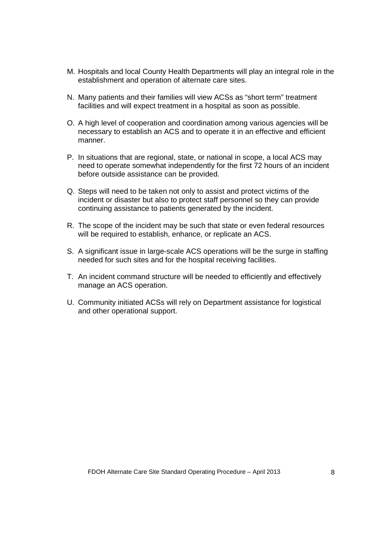- M. Hospitals and local County Health Departments will play an integral role in the establishment and operation of alternate care sites.
- N. Many patients and their families will view ACSs as "short term" treatment facilities and will expect treatment in a hospital as soon as possible.
- O. A high level of cooperation and coordination among various agencies will be necessary to establish an ACS and to operate it in an effective and efficient manner.
- P. In situations that are regional, state, or national in scope, a local ACS may need to operate somewhat independently for the first 72 hours of an incident before outside assistance can be provided.
- Q. Steps will need to be taken not only to assist and protect victims of the incident or disaster but also to protect staff personnel so they can provide continuing assistance to patients generated by the incident.
- R. The scope of the incident may be such that state or even federal resources will be required to establish, enhance, or replicate an ACS.
- S. A significant issue in large-scale ACS operations will be the surge in staffing needed for such sites and for the hospital receiving facilities.
- T. An incident command structure will be needed to efficiently and effectively manage an ACS operation.
- U. Community initiated ACSs will rely on Department assistance for logistical and other operational support.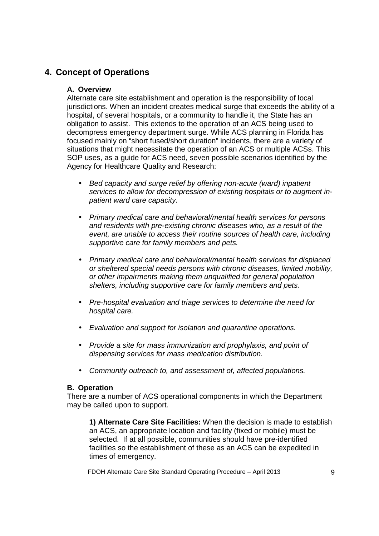# **4. Concept of Operations**

### **A. Overview**

Alternate care site establishment and operation is the responsibility of local jurisdictions. When an incident creates medical surge that exceeds the ability of a hospital, of several hospitals, or a community to handle it, the State has an obligation to assist. This extends to the operation of an ACS being used to decompress emergency department surge. While ACS planning in Florida has focused mainly on "short fused/short duration" incidents, there are a variety of situations that might necessitate the operation of an ACS or multiple ACSs. This SOP uses, as a guide for ACS need, seven possible scenarios identified by the Agency for Healthcare Quality and Research:

- Bed capacity and surge relief by offering non-acute (ward) inpatient services to allow for decompression of existing hospitals or to augment inpatient ward care capacity.
- Primary medical care and behavioral/mental health services for persons and residents with pre-existing chronic diseases who, as a result of the event, are unable to access their routine sources of health care, including supportive care for family members and pets.
- Primary medical care and behavioral/mental health services for displaced or sheltered special needs persons with chronic diseases, limited mobility, or other impairments making them unqualified for general population shelters, including supportive care for family members and pets.
- Pre-hospital evaluation and triage services to determine the need for hospital care.
- Evaluation and support for isolation and quarantine operations.
- Provide a site for mass immunization and prophylaxis, and point of dispensing services for mass medication distribution.
- Community outreach to, and assessment of, affected populations.

### **B. Operation**

There are a number of ACS operational components in which the Department may be called upon to support.

**1) Alternate Care Site Facilities:** When the decision is made to establish an ACS, an appropriate location and facility (fixed or mobile) must be selected. If at all possible, communities should have pre-identified facilities so the establishment of these as an ACS can be expedited in times of emergency.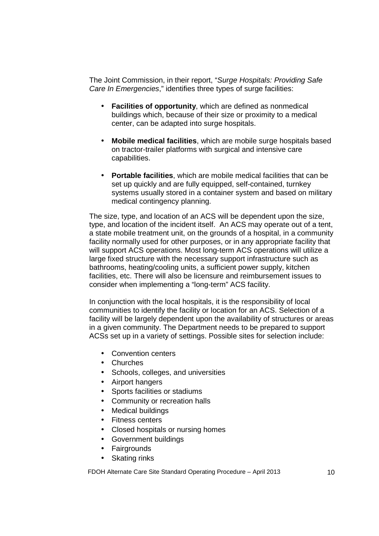The Joint Commission, in their report, "Surge Hospitals: Providing Safe Care In Emergencies," identifies three types of surge facilities:

- **Facilities of opportunity**, which are defined as nonmedical buildings which, because of their size or proximity to a medical center, can be adapted into surge hospitals.
- **Mobile medical facilities**, which are mobile surge hospitals based on tractor-trailer platforms with surgical and intensive care capabilities.
- **Portable facilities**, which are mobile medical facilities that can be set up quickly and are fully equipped, self-contained, turnkey systems usually stored in a container system and based on military medical contingency planning.

The size, type, and location of an ACS will be dependent upon the size, type, and location of the incident itself. An ACS may operate out of a tent, a state mobile treatment unit, on the grounds of a hospital, in a community facility normally used for other purposes, or in any appropriate facility that will support ACS operations. Most long-term ACS operations will utilize a large fixed structure with the necessary support infrastructure such as bathrooms, heating/cooling units, a sufficient power supply, kitchen facilities, etc. There will also be licensure and reimbursement issues to consider when implementing a "long-term" ACS facility.

In conjunction with the local hospitals, it is the responsibility of local communities to identify the facility or location for an ACS. Selection of a facility will be largely dependent upon the availability of structures or areas in a given community. The Department needs to be prepared to support ACSs set up in a variety of settings. Possible sites for selection include:

- Convention centers
- Churches
- Schools, colleges, and universities
- Airport hangers
- Sports facilities or stadiums
- Community or recreation halls
- Medical buildings
- Fitness centers
- Closed hospitals or nursing homes
- Government buildings
- Fairgrounds
- Skating rinks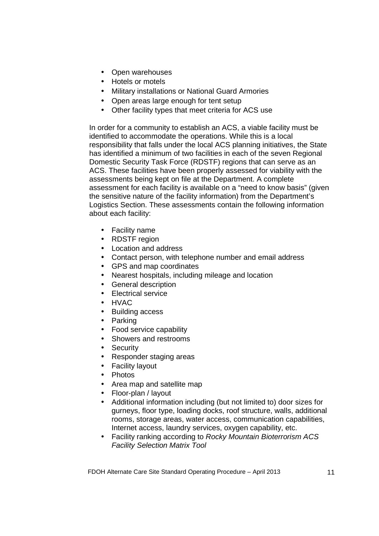- Open warehouses
- Hotels or motels
- Military installations or National Guard Armories
- Open areas large enough for tent setup
- Other facility types that meet criteria for ACS use

In order for a community to establish an ACS, a viable facility must be identified to accommodate the operations. While this is a local responsibility that falls under the local ACS planning initiatives, the State has identified a minimum of two facilities in each of the seven Regional Domestic Security Task Force (RDSTF) regions that can serve as an ACS. These facilities have been properly assessed for viability with the assessments being kept on file at the Department. A complete assessment for each facility is available on a "need to know basis" (given the sensitive nature of the facility information) from the Department's Logistics Section. These assessments contain the following information about each facility:

- Facility name
- RDSTF region
- Location and address
- Contact person, with telephone number and email address
- GPS and map coordinates
- Nearest hospitals, including mileage and location
- General description
- Electrical service
- HVAC
- Building access
- Parking
- Food service capability
- Showers and restrooms
- Security
- Responder staging areas
- Facility layout
- Photos
- Area map and satellite map
- Floor-plan / layout
- Additional information including (but not limited to) door sizes for gurneys, floor type, loading docks, roof structure, walls, additional rooms, storage areas, water access, communication capabilities, Internet access, laundry services, oxygen capability, etc.
- Facility ranking according to Rocky Mountain Bioterrorism ACS Facility Selection Matrix Tool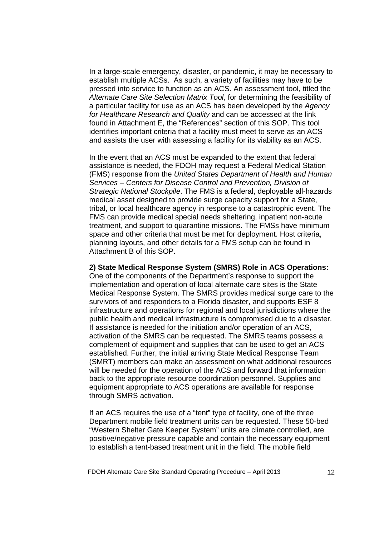In a large-scale emergency, disaster, or pandemic, it may be necessary to establish multiple ACSs. As such, a variety of facilities may have to be pressed into service to function as an ACS. An assessment tool, titled the Alternate Care Site Selection Matrix Tool, for determining the feasibility of a particular facility for use as an ACS has been developed by the Agency for Healthcare Research and Quality and can be accessed at the link found in Attachment E, the "References" section of this SOP. This tool identifies important criteria that a facility must meet to serve as an ACS and assists the user with assessing a facility for its viability as an ACS.

In the event that an ACS must be expanded to the extent that federal assistance is needed, the FDOH may request a Federal Medical Station (FMS) response from the United States Department of Health and Human Services – Centers for Disease Control and Prevention, Division of Strategic National Stockpile. The FMS is a federal, deployable all-hazards medical asset designed to provide surge capacity support for a State, tribal, or local healthcare agency in response to a catastrophic event. The FMS can provide medical special needs sheltering, inpatient non-acute treatment, and support to quarantine missions. The FMSs have minimum space and other criteria that must be met for deployment. Host criteria, planning layouts, and other details for a FMS setup can be found in Attachment B of this SOP.

#### **2) State Medical Response System (SMRS) Role in ACS Operations:**

One of the components of the Department's response to support the implementation and operation of local alternate care sites is the State Medical Response System. The SMRS provides medical surge care to the survivors of and responders to a Florida disaster, and supports ESF 8 infrastructure and operations for regional and local jurisdictions where the public health and medical infrastructure is compromised due to a disaster. If assistance is needed for the initiation and/or operation of an ACS, activation of the SMRS can be requested. The SMRS teams possess a complement of equipment and supplies that can be used to get an ACS established. Further, the initial arriving State Medical Response Team (SMRT) members can make an assessment on what additional resources will be needed for the operation of the ACS and forward that information back to the appropriate resource coordination personnel. Supplies and equipment appropriate to ACS operations are available for response through SMRS activation.

If an ACS requires the use of a "tent" type of facility, one of the three Department mobile field treatment units can be requested. These 50-bed "Western Shelter Gate Keeper System" units are climate controlled, are positive/negative pressure capable and contain the necessary equipment to establish a tent-based treatment unit in the field. The mobile field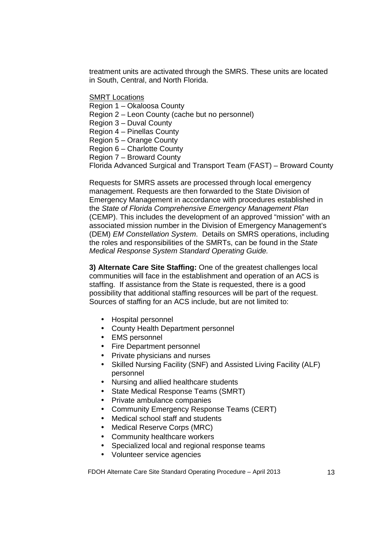treatment units are activated through the SMRS. These units are located in South, Central, and North Florida.

SMRT Locations

Region 1 – Okaloosa County

Region 2 – Leon County (cache but no personnel)

Region 3 – Duval County

Region 4 – Pinellas County

Region 5 – Orange County

Region 6 – Charlotte County

Region 7 – Broward County

Florida Advanced Surgical and Transport Team (FAST) – Broward County

Requests for SMRS assets are processed through local emergency management. Requests are then forwarded to the State Division of Emergency Management in accordance with procedures established in the State of Florida Comprehensive Emergency Management Plan (CEMP). This includes the development of an approved "mission" with an associated mission number in the Division of Emergency Management's (DEM) EM Constellation System. Details on SMRS operations, including the roles and responsibilities of the SMRTs, can be found in the State Medical Response System Standard Operating Guide.

**3) Alternate Care Site Staffing:** One of the greatest challenges local communities will face in the establishment and operation of an ACS is staffing. If assistance from the State is requested, there is a good possibility that additional staffing resources will be part of the request. Sources of staffing for an ACS include, but are not limited to:

- Hospital personnel
- County Health Department personnel
- EMS personnel
- Fire Department personnel
- Private physicians and nurses
- Skilled Nursing Facility (SNF) and Assisted Living Facility (ALF) personnel
- Nursing and allied healthcare students
- State Medical Response Teams (SMRT)
- Private ambulance companies
- Community Emergency Response Teams (CERT)
- Medical school staff and students
- Medical Reserve Corps (MRC)
- Community healthcare workers
- Specialized local and regional response teams
- Volunteer service agencies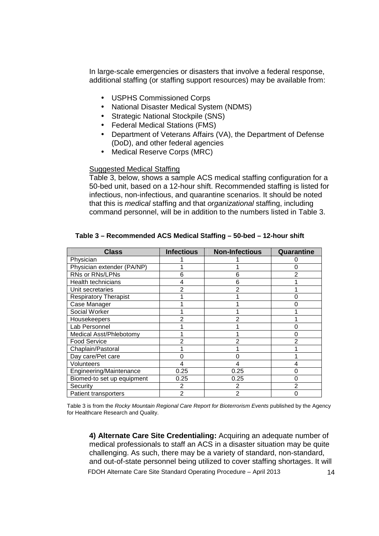In large-scale emergencies or disasters that involve a federal response, additional staffing (or staffing support resources) may be available from:

- USPHS Commissioned Corps
- National Disaster Medical System (NDMS)
- Strategic National Stockpile (SNS)
- Federal Medical Stations (FMS)
- Department of Veterans Affairs (VA), the Department of Defense (DoD), and other federal agencies
- Medical Reserve Corps (MRC)

#### Suggested Medical Staffing

Table 3, below, shows a sample ACS medical staffing configuration for a 50-bed unit, based on a 12-hour shift. Recommended staffing is listed for infectious, non-infectious, and quarantine scenarios. It should be noted that this is medical staffing and that organizational staffing, including command personnel, will be in addition to the numbers listed in Table 3.

| <b>Class</b>                 | <b>Infectious</b> | <b>Non-Infectious</b> | Quarantine     |
|------------------------------|-------------------|-----------------------|----------------|
| Physician                    |                   |                       |                |
| Physician extender (PA/NP)   |                   |                       |                |
| RNs or RNs/LPNs              | 6                 | 6                     |                |
| Health technicians           |                   | 6                     |                |
| Unit secretaries             |                   | 2                     |                |
| <b>Respiratory Therapist</b> |                   |                       |                |
| Case Manager                 |                   |                       | O)             |
| Social Worker                |                   |                       |                |
| Housekeepers                 |                   |                       |                |
| Lab Personnel                |                   |                       |                |
| Medical Asst/Phlebotomy      |                   |                       |                |
| <b>Food Service</b>          |                   |                       | 2              |
| Chaplain/Pastoral            |                   |                       |                |
| Day care/Pet care            |                   |                       |                |
| <b>Volunteers</b>            |                   | 4                     |                |
| Engineering/Maintenance      | 0.25              | 0.25                  |                |
| Biomed-to set up equipment   | 0.25              | 0.25                  |                |
| Security                     | 2                 | 2                     | $\overline{2}$ |
| Patient transporters         | $\overline{2}$    | $\overline{2}$        | $\Omega$       |

#### **Table 3 – Recommended ACS Medical Staffing – 50-bed – 12-hour shift**

Table 3 is from the Rocky Mountain Regional Care Report for Bioterrorism Events published by the Agency for Healthcare Research and Quality.

FDOH Alternate Care Site Standard Operating Procedure – April 2013 14 **4) Alternate Care Site Credentialing:** Acquiring an adequate number of medical professionals to staff an ACS in a disaster situation may be quite challenging. As such, there may be a variety of standard, non-standard, and out-of-state personnel being utilized to cover staffing shortages. It will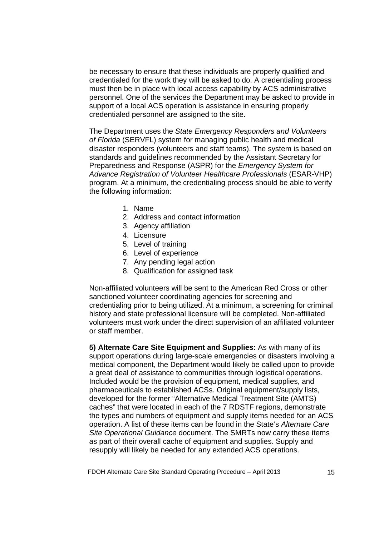be necessary to ensure that these individuals are properly qualified and credentialed for the work they will be asked to do. A credentialing process must then be in place with local access capability by ACS administrative personnel. One of the services the Department may be asked to provide in support of a local ACS operation is assistance in ensuring properly credentialed personnel are assigned to the site.

The Department uses the State Emergency Responders and Volunteers of Florida (SERVFL) system for managing public health and medical disaster responders (volunteers and staff teams). The system is based on standards and guidelines recommended by the Assistant Secretary for Preparedness and Response (ASPR) for the *Emergency System for* Advance Registration of Volunteer Healthcare Professionals (ESAR-VHP) program. At a minimum, the credentialing process should be able to verify the following information:

- 1. Name
- 2. Address and contact information
- 3. Agency affiliation
- 4. Licensure
- 5. Level of training
- 6. Level of experience
- 7. Any pending legal action
- 8. Qualification for assigned task

Non-affiliated volunteers will be sent to the American Red Cross or other sanctioned volunteer coordinating agencies for screening and credentialing prior to being utilized. At a minimum, a screening for criminal history and state professional licensure will be completed. Non-affiliated volunteers must work under the direct supervision of an affiliated volunteer or staff member.

**5) Alternate Care Site Equipment and Supplies:** As with many of its support operations during large-scale emergencies or disasters involving a medical component, the Department would likely be called upon to provide a great deal of assistance to communities through logistical operations. Included would be the provision of equipment, medical supplies, and pharmaceuticals to established ACSs. Original equipment/supply lists, developed for the former "Alternative Medical Treatment Site (AMTS) caches" that were located in each of the 7 RDSTF regions, demonstrate the types and numbers of equipment and supply items needed for an ACS operation. A list of these items can be found in the State's Alternate Care Site Operational Guidance document. The SMRTs now carry these items as part of their overall cache of equipment and supplies. Supply and resupply will likely be needed for any extended ACS operations.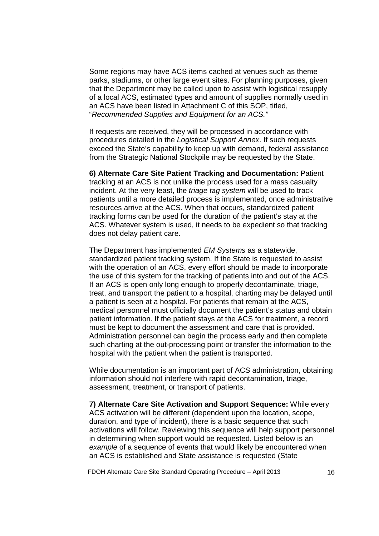Some regions may have ACS items cached at venues such as theme parks, stadiums, or other large event sites. For planning purposes, given that the Department may be called upon to assist with logistical resupply of a local ACS, estimated types and amount of supplies normally used in an ACS have been listed in Attachment C of this SOP, titled, "Recommended Supplies and Equipment for an ACS."

If requests are received, they will be processed in accordance with procedures detailed in the Logistical Support Annex. If such requests exceed the State's capability to keep up with demand, federal assistance from the Strategic National Stockpile may be requested by the State.

**6) Alternate Care Site Patient Tracking and Documentation:** Patient tracking at an ACS is not unlike the process used for a mass casualty incident. At the very least, the *triage tag system* will be used to track patients until a more detailed process is implemented, once administrative resources arrive at the ACS. When that occurs, standardized patient tracking forms can be used for the duration of the patient's stay at the ACS. Whatever system is used, it needs to be expedient so that tracking does not delay patient care.

The Department has implemented EM Systems as a statewide, standardized patient tracking system. If the State is requested to assist with the operation of an ACS, every effort should be made to incorporate the use of this system for the tracking of patients into and out of the ACS. If an ACS is open only long enough to properly decontaminate, triage, treat, and transport the patient to a hospital, charting may be delayed until a patient is seen at a hospital. For patients that remain at the ACS, medical personnel must officially document the patient's status and obtain patient information. If the patient stays at the ACS for treatment, a record must be kept to document the assessment and care that is provided. Administration personnel can begin the process early and then complete such charting at the out-processing point or transfer the information to the hospital with the patient when the patient is transported.

While documentation is an important part of ACS administration, obtaining information should not interfere with rapid decontamination, triage, assessment, treatment, or transport of patients.

**7) Alternate Care Site Activation and Support Sequence:** While every ACS activation will be different (dependent upon the location, scope, duration, and type of incident), there is a basic sequence that such activations will follow. Reviewing this sequence will help support personnel in determining when support would be requested. Listed below is an example of a sequence of events that would likely be encountered when an ACS is established and State assistance is requested (State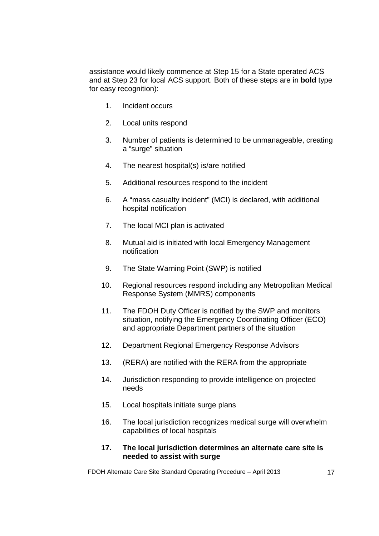assistance would likely commence at Step 15 for a State operated ACS and at Step 23 for local ACS support. Both of these steps are in **bold** type for easy recognition):

- 1. Incident occurs
- 2. Local units respond
- 3. Number of patients is determined to be unmanageable, creating a "surge" situation
- 4. The nearest hospital(s) is/are notified
- 5. Additional resources respond to the incident
- 6. A "mass casualty incident" (MCI) is declared, with additional hospital notification
- 7. The local MCI plan is activated
- 8. Mutual aid is initiated with local Emergency Management notification
- 9. The State Warning Point (SWP) is notified
- 10. Regional resources respond including any Metropolitan Medical Response System (MMRS) components
- 11. The FDOH Duty Officer is notified by the SWP and monitors situation, notifying the Emergency Coordinating Officer (ECO) and appropriate Department partners of the situation
- 12. Department Regional Emergency Response Advisors
- 13. (RERA) are notified with the RERA from the appropriate
- 14. Jurisdiction responding to provide intelligence on projected needs
- 15. Local hospitals initiate surge plans
- 16. The local jurisdiction recognizes medical surge will overwhelm capabilities of local hospitals

#### **17. The local jurisdiction determines an alternate care site is needed to assist with surge**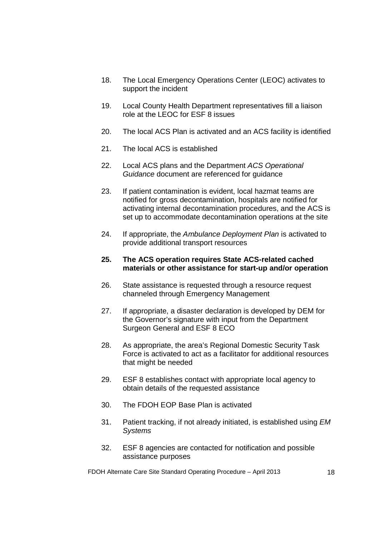- 18. The Local Emergency Operations Center (LEOC) activates to support the incident
- 19. Local County Health Department representatives fill a liaison role at the LEOC for ESF 8 issues
- 20. The local ACS Plan is activated and an ACS facility is identified
- 21. The local ACS is established
- 22. Local ACS plans and the Department ACS Operational Guidance document are referenced for guidance
- 23. If patient contamination is evident, local hazmat teams are notified for gross decontamination, hospitals are notified for activating internal decontamination procedures, and the ACS is set up to accommodate decontamination operations at the site
- 24. If appropriate, the Ambulance Deployment Plan is activated to provide additional transport resources

#### **25. The ACS operation requires State ACS-related cached materials or other assistance for start-up and/or operation**

- 26. State assistance is requested through a resource request channeled through Emergency Management
- 27. If appropriate, a disaster declaration is developed by DEM for the Governor's signature with input from the Department Surgeon General and ESF 8 ECO
- 28. As appropriate, the area's Regional Domestic Security Task Force is activated to act as a facilitator for additional resources that might be needed
- 29. ESF 8 establishes contact with appropriate local agency to obtain details of the requested assistance
- 30. The FDOH EOP Base Plan is activated
- 31. Patient tracking, if not already initiated, is established using EM **Systems**
- 32. ESF 8 agencies are contacted for notification and possible assistance purposes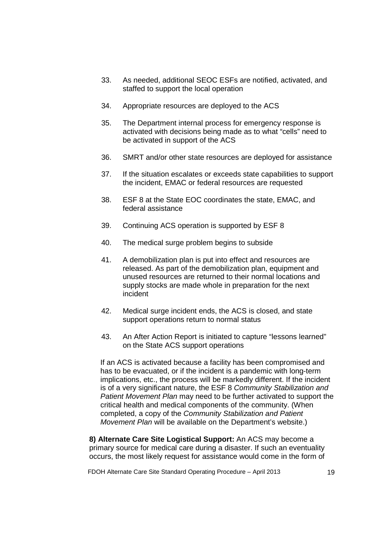- 33. As needed, additional SEOC ESFs are notified, activated, and staffed to support the local operation
- 34. Appropriate resources are deployed to the ACS
- 35. The Department internal process for emergency response is activated with decisions being made as to what "cells" need to be activated in support of the ACS
- 36. SMRT and/or other state resources are deployed for assistance
- 37. If the situation escalates or exceeds state capabilities to support the incident, EMAC or federal resources are requested
- 38. ESF 8 at the State EOC coordinates the state, EMAC, and federal assistance
- 39. Continuing ACS operation is supported by ESF 8
- 40. The medical surge problem begins to subside
- 41. A demobilization plan is put into effect and resources are released. As part of the demobilization plan, equipment and unused resources are returned to their normal locations and supply stocks are made whole in preparation for the next incident
- 42. Medical surge incident ends, the ACS is closed, and state support operations return to normal status
- 43. An After Action Report is initiated to capture "lessons learned" on the State ACS support operations

If an ACS is activated because a facility has been compromised and has to be evacuated, or if the incident is a pandemic with long-term implications, etc., the process will be markedly different. If the incident is of a very significant nature, the ESF 8 Community Stabilization and Patient Movement Plan may need to be further activated to support the critical health and medical components of the community. (When completed, a copy of the Community Stabilization and Patient Movement Plan will be available on the Department's website.)

**8) Alternate Care Site Logistical Support:** An ACS may become a primary source for medical care during a disaster. If such an eventuality occurs, the most likely request for assistance would come in the form of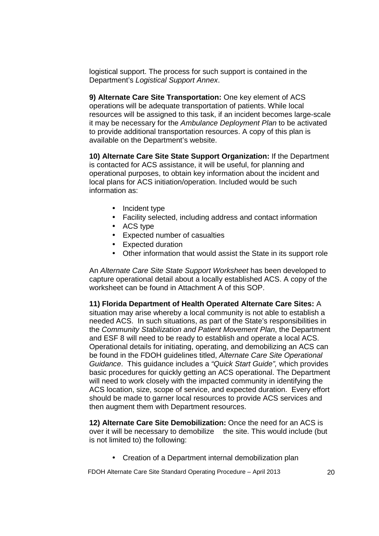logistical support. The process for such support is contained in the Department's Logistical Support Annex.

**9) Alternate Care Site Transportation:** One key element of ACS operations will be adequate transportation of patients. While local resources will be assigned to this task, if an incident becomes large-scale it may be necessary for the Ambulance Deployment Plan to be activated to provide additional transportation resources. A copy of this plan is available on the Department's website.

**10) Alternate Care Site State Support Organization:** If the Department is contacted for ACS assistance, it will be useful, for planning and operational purposes, to obtain key information about the incident and local plans for ACS initiation/operation. Included would be such information as:

- Incident type
- Facility selected, including address and contact information
- ACS type
- Expected number of casualties
- Expected duration
- Other information that would assist the State in its support role

An Alternate Care Site State Support Worksheet has been developed to capture operational detail about a locally established ACS. A copy of the worksheet can be found in Attachment A of this SOP.

**11) Florida Department of Health Operated Alternate Care Sites:** A situation may arise whereby a local community is not able to establish a needed ACS. In such situations, as part of the State's responsibilities in the Community Stabilization and Patient Movement Plan, the Department and ESF 8 will need to be ready to establish and operate a local ACS. Operational details for initiating, operating, and demobilizing an ACS can be found in the FDOH guidelines titled, Alternate Care Site Operational Guidance. This guidance includes a "Quick Start Guide", which provides basic procedures for quickly getting an ACS operational. The Department will need to work closely with the impacted community in identifying the ACS location, size, scope of service, and expected duration. Every effort should be made to garner local resources to provide ACS services and then augment them with Department resources.

**12) Alternate Care Site Demobilization:** Once the need for an ACS is over it will be necessary to demobilize the site. This would include (but is not limited to) the following:

• Creation of a Department internal demobilization plan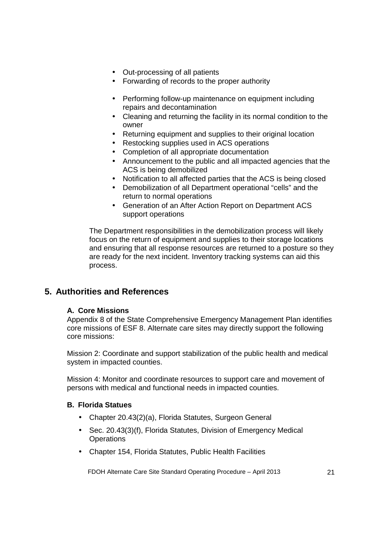- Out-processing of all patients
- Forwarding of records to the proper authority
- Performing follow-up maintenance on equipment including repairs and decontamination
- Cleaning and returning the facility in its normal condition to the owner
- Returning equipment and supplies to their original location
- Restocking supplies used in ACS operations
- Completion of all appropriate documentation
- Announcement to the public and all impacted agencies that the ACS is being demobilized
- Notification to all affected parties that the ACS is being closed
- Demobilization of all Department operational "cells" and the return to normal operations
- Generation of an After Action Report on Department ACS support operations

The Department responsibilities in the demobilization process will likely focus on the return of equipment and supplies to their storage locations and ensuring that all response resources are returned to a posture so they are ready for the next incident. Inventory tracking systems can aid this process.

### **5. Authorities and References**

### **A. Core Missions**

Appendix 8 of the State Comprehensive Emergency Management Plan identifies core missions of ESF 8. Alternate care sites may directly support the following core missions:

Mission 2: Coordinate and support stabilization of the public health and medical system in impacted counties.

Mission 4: Monitor and coordinate resources to support care and movement of persons with medical and functional needs in impacted counties.

### **B. Florida Statues**

- Chapter 20.43(2)(a), Florida Statutes, Surgeon General
- Sec. 20.43(3)(f), Florida Statutes, Division of Emergency Medical **Operations**
- Chapter 154, Florida Statutes, Public Health Facilities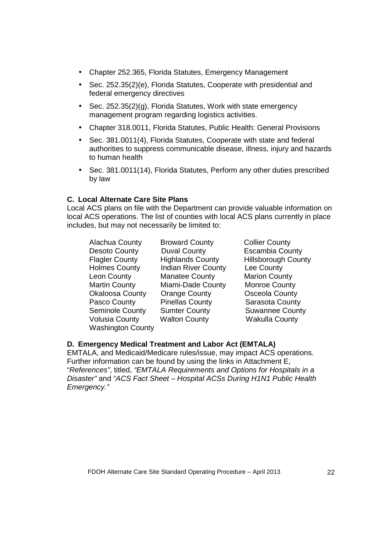- Chapter 252.365, Florida Statutes, Emergency Management
- Sec. 252.35(2)(e), Florida Statutes, Cooperate with presidential and federal emergency directives
- Sec. 252.35(2)(g), Florida Statutes, Work with state emergency management program regarding logistics activities.
- Chapter 318.0011, Florida Statutes, Public Health: General Provisions
- Sec. 381.0011(4), Florida Statutes, Cooperate with state and federal authorities to suppress communicable disease, illness, injury and hazards to human health
- Sec. 381.0011(14), Florida Statutes, Perform any other duties prescribed by law

### **C. Local Alternate Care Site Plans**

Local ACS plans on file with the Department can provide valuable information on local ACS operations. The list of counties with local ACS plans currently in place includes, but may not necessarily be limited to:

| Alachua County           | <b>Broward County</b>      | <b>Collier County</b>     |
|--------------------------|----------------------------|---------------------------|
| Desoto County            | <b>Duval County</b>        | <b>Escambia County</b>    |
| <b>Flagler County</b>    | <b>Highlands County</b>    | <b>Hillsborough Count</b> |
| <b>Holmes County</b>     | <b>Indian River County</b> | Lee County                |
| <b>Leon County</b>       | <b>Manatee County</b>      | <b>Marion County</b>      |
| <b>Martin County</b>     | Miami-Dade County          | <b>Monroe County</b>      |
| <b>Okaloosa County</b>   | <b>Orange County</b>       | <b>Osceola County</b>     |
| Pasco County             | <b>Pinellas County</b>     | Sarasota County           |
| <b>Seminole County</b>   | <b>Sumter County</b>       | <b>Suwannee County</b>    |
| <b>Volusia County</b>    | <b>Walton County</b>       | <b>Wakulla County</b>     |
| <b>Washington County</b> |                            |                           |

### **D. Emergency Medical Treatment and Labor Act (EMTALA)**

EMTALA, and Medicaid/Medicare rules/issue, may impact ACS operations. Further information can be found by using the links in Attachment E, "References", titled, "EMTALA Requirements and Options for Hospitals in a Disaster" and "ACS Fact Sheet – Hospital ACSs During H1N1 Public Health Emergency."

County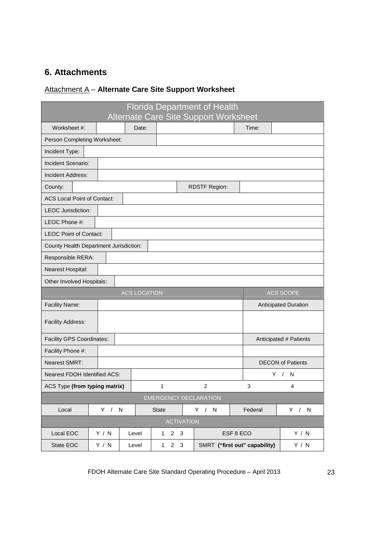# **6. Attachments**

# Attachment A – **Alternate Care Site Support Worksheet**

| <b>Florida Department of Health</b>    |       |                     |                     |             |                               |         |                          |
|----------------------------------------|-------|---------------------|---------------------|-------------|-------------------------------|---------|--------------------------|
| Alternate Care Site Support Worksheet  |       |                     |                     |             |                               |         |                          |
| Worksheet #:                           |       | Date:               |                     |             |                               | Time:   |                          |
| Person Completing Worksheet:           |       |                     |                     |             |                               |         |                          |
| Incident Type:                         |       |                     |                     |             |                               |         |                          |
| Incident Scenario:                     |       |                     |                     |             |                               |         |                          |
| Incident Address:                      |       |                     |                     |             |                               |         |                          |
| County:                                |       |                     |                     |             | <b>RDSTF Region:</b>          |         |                          |
| <b>ACS Local Point of Contact:</b>     |       |                     |                     |             |                               |         |                          |
| <b>LEOC Jurisdiction:</b>              |       |                     |                     |             |                               |         |                          |
| LEOC Phone #:                          |       |                     |                     |             |                               |         |                          |
| <b>LEOC Point of Contact:</b>          |       |                     |                     |             |                               |         |                          |
| County Health Department Jurisdiction: |       |                     |                     |             |                               |         |                          |
| Responsible RERA:                      |       |                     |                     |             |                               |         |                          |
| Nearest Hospital:                      |       |                     |                     |             |                               |         |                          |
| Other Involved Hospitals:              |       |                     |                     |             |                               |         |                          |
|                                        |       | <b>ACS LOCATION</b> |                     |             |                               |         | <b>ACS SCOPE</b>         |
| Facility Name:                         |       |                     |                     |             | Anticipated Duration          |         |                          |
| <b>Facility Address:</b>               |       |                     |                     |             |                               |         |                          |
| Facility GPS Coordinates:              |       |                     |                     |             |                               |         | Anticipated # Patients   |
| Facility Phone #:                      |       |                     |                     |             |                               |         |                          |
| <b>Nearest SMRT:</b>                   |       |                     |                     |             |                               |         | <b>DECON of Patients</b> |
| Nearest FDOH Identified ACS:           |       |                     |                     |             |                               | Y.      | $\sqrt{ }$<br>N          |
| ACS Type (from typing matrix)          |       |                     | 1                   |             | $\overline{c}$                | 3       | 4                        |
| <b>EMERGENCY DECLARATION</b>           |       |                     |                     |             |                               |         |                          |
| Local                                  | Y / N |                     | State               |             | Y / N                         | Federal | Y / N                    |
| <b>ACTIVATION</b>                      |       |                     |                     |             |                               |         |                          |
| Local EOC                              | Y / N | Level               | $1 \quad 2 \quad 3$ |             | ESF 8 ECO                     |         | Y / N                    |
| State EOC                              | Y / N | Level               | $\mathbf{1}$        | $2 \quad 3$ | SMRT ("first out" capability) |         | Y / N                    |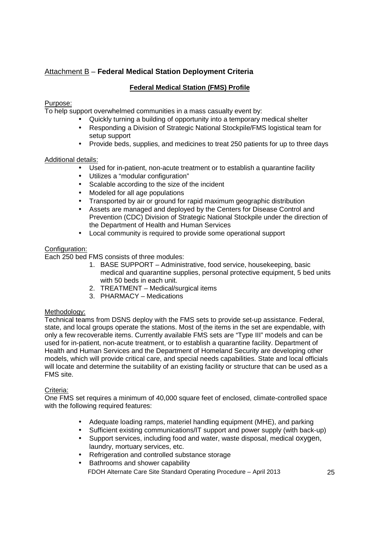### Attachment B – **Federal Medical Station Deployment Criteria**

### **Federal Medical Station (FMS) Profile**

### Purpose:

To help support overwhelmed communities in a mass casualty event by:

- Quickly turning a building of opportunity into a temporary medical shelter
- Responding a Division of Strategic National Stockpile/FMS logistical team for setup support
- Provide beds, supplies, and medicines to treat 250 patients for up to three days

### Additional details:

- Used for in-patient, non-acute treatment or to establish a quarantine facility
- Utilizes a "modular configuration"
- Scalable according to the size of the incident
- Modeled for all age populations
- Transported by air or ground for rapid maximum geographic distribution
- Assets are managed and deployed by the Centers for Disease Control and Prevention (CDC) Division of Strategic National Stockpile under the direction of the Department of Health and Human Services
- Local community is required to provide some operational support

### Configuration:

Each 250 bed FMS consists of three modules:

- 1. BASE SUPPORT Administrative, food service, housekeeping, basic medical and quarantine supplies, personal protective equipment, 5 bed units with 50 beds in each unit.
- 2. TREATMENT Medical/surgical items
- 3. PHARMACY Medications

### Methodology:

Technical teams from DSNS deploy with the FMS sets to provide set-up assistance. Federal, state, and local groups operate the stations. Most of the items in the set are expendable, with only a few recoverable items. Currently available FMS sets are "Type III" models and can be used for in-patient, non-acute treatment, or to establish a quarantine facility. Department of Health and Human Services and the Department of Homeland Security are developing other models, which will provide critical care, and special needs capabilities. State and local officials will locate and determine the suitability of an existing facility or structure that can be used as a FMS site.

### Criteria:

One FMS set requires a minimum of 40,000 square feet of enclosed, climate-controlled space with the following required features:

- Adequate loading ramps, materiel handling equipment (MHE), and parking
- Sufficient existing communications/IT support and power supply (with back-up)
- Support services, including food and water, waste disposal, medical oxygen, laundry, mortuary services, etc.
- Refrigeration and controlled substance storage
- FDOH Alternate Care Site Standard Operating Procedure April 2013 25 • Bathrooms and shower capability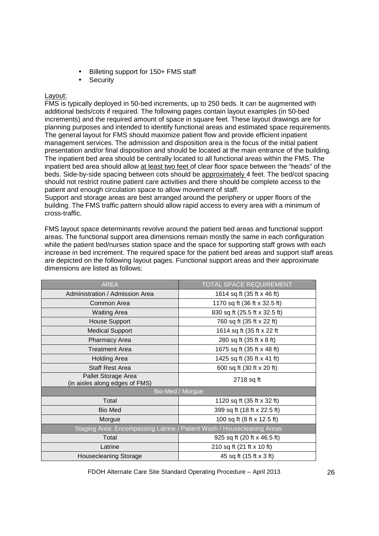- Billeting support for 150+ FMS staff
- **Security**

#### Layout:

FMS is typically deployed in 50-bed increments, up to 250 beds. It can be augmented with additional beds/cots if required. The following pages contain layout examples (in 50-bed increments) and the required amount of space in square feet. These layout drawings are for planning purposes and intended to identify functional areas and estimated space requirements. The general layout for FMS should maximize patient flow and provide efficient inpatient management services. The admission and disposition area is the focus of the initial patient presentation and/or final disposition and should be located at the main entrance of the building. The inpatient bed area should be centrally located to all functional areas within the FMS. The inpatient bed area should allow at least two feet of clear floor space between the "heads" of the beds. Side-by-side spacing between cots should be approximately 4 feet. The bed/cot spacing should not restrict routine patient care activities and there should be complete access to the patient and enough circulation space to allow movement of staff.

Support and storage areas are best arranged around the periphery or upper floors of the building. The FMS traffic pattern should allow rapid access to every area with a minimum of cross-traffic.

FMS layout space determinants revolve around the patient bed areas and functional support areas. The functional support area dimensions remain mostly the same in each configuration while the patient bed/nurses station space and the space for supporting staff grows with each increase in bed increment. The required space for the patient bed areas and support staff areas are depicted on the following layout pages. Functional support areas and their approximate dimensions are listed as follows:

| <b>AREA</b>                                           | <b>TOTAL SPACE REQUIREMENT</b>                                          |  |
|-------------------------------------------------------|-------------------------------------------------------------------------|--|
| Administration / Admission Area                       | 1614 sq ft (35 ft x 46 ft)                                              |  |
| Common Area                                           | 1170 sq ft (36 ft x 32.5 ft)                                            |  |
| <b>Waiting Area</b>                                   | 830 sq ft (25.5 ft x 32.5 ft)                                           |  |
| House Support                                         | 760 sq ft (35 ft x 22 ft)                                               |  |
| <b>Medical Support</b>                                | 1614 sq ft (35 ft x 22 ft                                               |  |
| Pharmacy Area                                         | 280 sq ft (35 ft x 8 ft)                                                |  |
| <b>Treatment Area</b>                                 | 1675 sq ft (35 ft x 48 ft)                                              |  |
| <b>Holding Area</b>                                   | 1425 sq ft (35 ft x 41 ft)                                              |  |
| <b>Staff Rest Area</b>                                | 600 sq ft (30 ft x 20 ft)                                               |  |
| Pallet Storage Area<br>(in aisles along edges of FMS) | 2718 sq ft                                                              |  |
|                                                       | Bio-Med / Morgue                                                        |  |
| Total                                                 | 1120 sq ft (35 ft x 32 ft)                                              |  |
| <b>Bio Med</b>                                        | 399 sq ft (18 ft x 22.5 ft)                                             |  |
| Morgue                                                | 100 sq ft (8 ft x 12.5 ft)                                              |  |
|                                                       | Staging Area: Encompassing Latrine / Patient Wash / Housecleaning Areas |  |
| Total                                                 | 925 sq ft (20 ft x 46.5 ft)                                             |  |
| Latrine                                               | 210 sq ft (21 ft x 10 ft)                                               |  |
| <b>Housecleaning Storage</b>                          | 45 sq ft (15 ft x 3 ft)                                                 |  |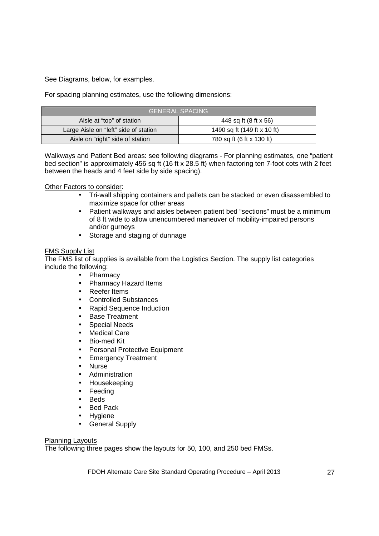See Diagrams, below, for examples.

For spacing planning estimates, use the following dimensions:

| <b>GENERAL SPACING</b>                |                             |  |  |
|---------------------------------------|-----------------------------|--|--|
| Aisle at "top" of station             | 448 sq ft (8 ft x 56)       |  |  |
| Large Aisle on "left" side of station | 1490 sq ft (149 ft x 10 ft) |  |  |
| Aisle on "right" side of station      | 780 sq ft (6 ft x 130 ft)   |  |  |

Walkways and Patient Bed areas: see following diagrams - For planning estimates, one "patient bed section" is approximately 456 sq ft (16 ft x 28.5 ft) when factoring ten 7-foot cots with 2 feet between the heads and 4 feet side by side spacing).

#### Other Factors to consider:

- Tri-wall shipping containers and pallets can be stacked or even disassembled to maximize space for other areas
- Patient walkways and aisles between patient bed "sections" must be a minimum of 8 ft wide to allow unencumbered maneuver of mobility-impaired persons and/or gurneys
- Storage and staging of dunnage

#### FMS Supply List

The FMS list of supplies is available from the Logistics Section. The supply list categories include the following:

- Pharmacy
- Pharmacy Hazard Items
- Reefer Items
- Controlled Substances
- Rapid Sequence Induction
- Base Treatment
- Special Needs
- Medical Care
- Bio-med Kit
- Personal Protective Equipment
- Emergency Treatment
- Nurse
- Administration
- Housekeeping
- Feeding
- Beds
- Bed Pack
- Hygiene
- General Supply

#### Planning Layouts

The following three pages show the layouts for 50, 100, and 250 bed FMSs.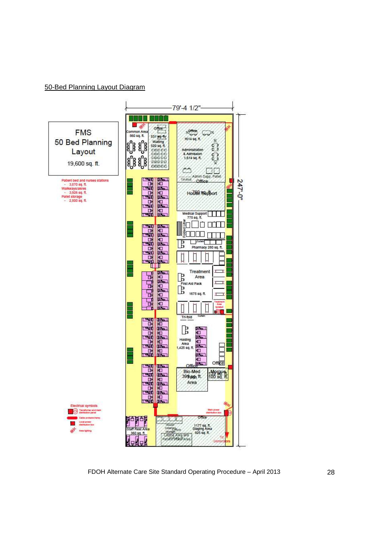#### 50-Bed Planning Layout Diagram

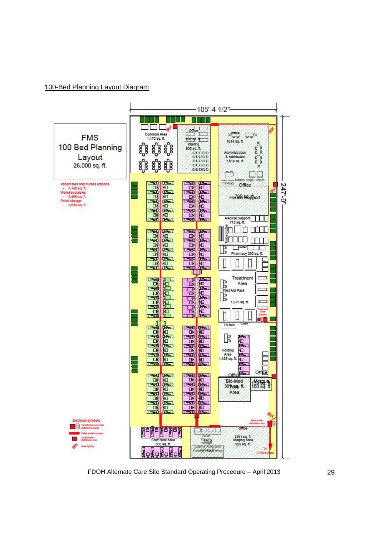### 100-Bed Planning Layout Diagram



FDOH Alternate Care Site Standard Operating Procedure – April 2013 29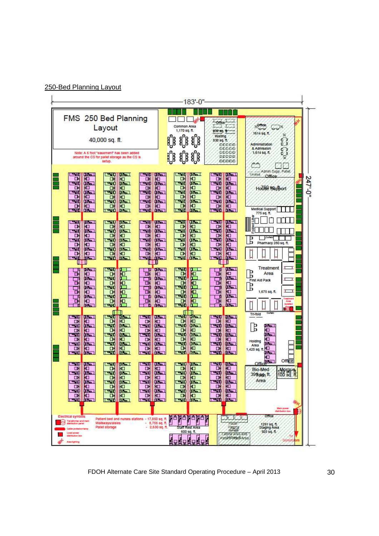| 250-Bed Planning Layout |  |
|-------------------------|--|
|                         |  |



FDOH Alternate Care Site Standard Operating Procedure – April 2013 30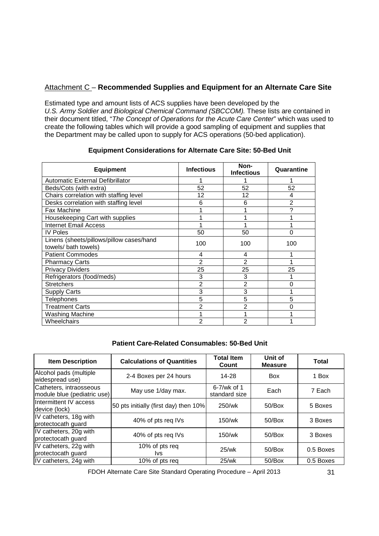### Attachment C – **Recommended Supplies and Equipment for an Alternate Care Site**

Estimated type and amount lists of ACS supplies have been developed by the U.S. Army Soldier and Biological Chemical Command (SBCCOM). These lists are contained in their document titled, "The Concept of Operations for the Acute Care Center" which was used to create the following tables which will provide a good sampling of equipment and supplies that the Department may be called upon to supply for ACS operations (50-bed application).

| <b>Equipment</b>                                                 | <b>Infectious</b> | Non-<br><b>Infectious</b> | Quarantine     |
|------------------------------------------------------------------|-------------------|---------------------------|----------------|
| <b>Automatic External Defibrillator</b>                          |                   |                           |                |
| Beds/Cots (with extra)                                           | 52                | 52                        | 52             |
| Chairs correlation with staffing level                           | 12                | 12                        | 4              |
| Desks correlation with staffing level                            | 6                 | 6                         | $\overline{2}$ |
| Fax Machine                                                      |                   |                           | ?              |
| Housekeeping Cart with supplies                                  |                   |                           |                |
| <b>Internet Email Access</b>                                     |                   |                           |                |
| <b>IV Poles</b>                                                  | 50                | 50                        | 0              |
| Linens (sheets/pillows/pillow cases/hand<br>towels/ bath towels) | 100               | 100                       | 100            |
| <b>Patient Commodes</b>                                          | 4                 | 4                         |                |
| <b>Pharmacy Carts</b>                                            | $\overline{2}$    | 2                         |                |
| <b>Privacy Dividers</b>                                          | 25                | 25                        | 25             |
| Refrigerators (food/meds)                                        | 3                 | 3                         |                |
| <b>Stretchers</b>                                                | $\overline{2}$    | $\overline{2}$            | 0              |
| <b>Supply Carts</b>                                              | 3                 | 3                         |                |
| Telephones                                                       | 5                 | 5                         | 5              |
| <b>Treatment Carts</b>                                           | 2                 | $\overline{2}$            | 0              |
| Washing Machine                                                  |                   |                           |                |
| <b>Wheelchairs</b>                                               | 2                 | 2                         |                |

### **Equipment Considerations for Alternate Care Site: 50-Bed Unit**

### **Patient Care-Related Consumables: 50-Bed Unit**

| <b>Item Description</b>                                | <b>Calculations of Quantities</b>     | <b>Total Item</b><br>Count        | Unit of<br><b>Measure</b> | Total     |
|--------------------------------------------------------|---------------------------------------|-----------------------------------|---------------------------|-----------|
| Alcohol pads (multiple<br>widespread use)              | 2-4 Boxes per 24 hours                | 14-28                             | <b>Box</b>                | 1 Box     |
| Catheters, intraosseous<br>module blue (pediatric use) | May use 1/day max.                    | $6 - 7$ /wk of 1<br>standard size | Each                      | 7 Each    |
| Intermittent IV access<br>device (lock)                | 50 pts initially (first day) then 10% | 250/wk                            | 50/Box                    | 5 Boxes   |
| IV catheters, 18g with<br>protectocath guard           | 40% of pts reg IVs                    | 150/wk                            | 50/Box                    | 3 Boxes   |
| IV catheters, 20g with<br>protectocath guard           | 40% of pts req IVs                    | 150/wk                            | 50/Box                    | 3 Boxes   |
| IV catheters, 22g with<br>protectocath guard           | 10% of pts req<br>lvs.                | $25$ /wk                          | 50/Box                    | 0.5 Boxes |
| IV catheters, 24g with                                 | 10% of pts req                        | $25$ /wk                          | 50/Box                    | 0.5 Boxes |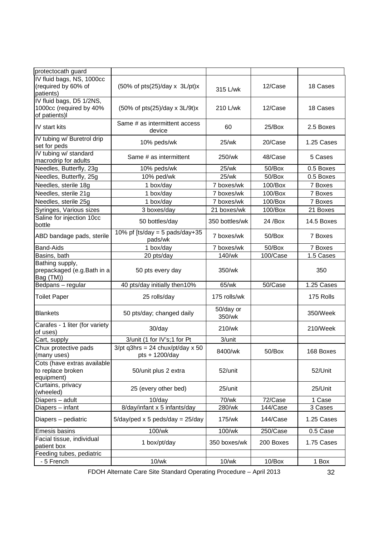| protectocath guard                                                   |                                                           |                     |           |            |
|----------------------------------------------------------------------|-----------------------------------------------------------|---------------------|-----------|------------|
| IV fluid bags, NS, 1000cc<br>(required by 60% of<br>patients)        | $(50\% \text{ of pts}(25)/day \times 3L\text{/pt})x$      | 315 L/wk            | 12/Case   | 18 Cases   |
| IV fluid bags, D5 1/2NS,<br>1000cc (required by 40%<br>of patients)I | $(50\% \text{ of pts}(25)/day \times 3L/9t)x$             | 210 L/wk            | 12/Case   | 18 Cases   |
| IV start kits                                                        | Same # as intermittent access<br>device                   | 60                  | 25/Box    | 2.5 Boxes  |
| IV tubing w/ Buretrol drip<br>set for peds                           | 10% peds/wk                                               | 25/wk               | 20/Case   | 1.25 Cases |
| IV tubing w/ standard<br>macrodrip for adults                        | Same # as intermittent                                    | 250/wk              | 48/Case   | 5 Cases    |
| Needles, Butterfly, 23g                                              | 10% peds/wk                                               | 25/wk               | 50/Box    | 0.5 Boxes  |
| Needles, Butterfly, 25g                                              | 10% ped/wk                                                | 25/wk               | 50/Box    | 0.5 Boxes  |
| Needles, sterile 18g                                                 | 1 box/day                                                 | 7 boxes/wk          | 100/Box   | 7 Boxes    |
| Needles, sterile 21g                                                 | 1 box/day                                                 | 7 boxes/wk          | 100/Box   | 7 Boxes    |
| Needles, sterile 25g                                                 | 1 box/day                                                 | 7 boxes/wk          | 100/Box   | 7 Boxes    |
| Syringes, Various sizes                                              | 3 boxes/day                                               | 21 boxes/wk         | 100/Box   | 21 Boxes   |
| Saline for injection 10cc<br>bottle                                  | 50 bottles/day                                            | 350 bottles/wk      | 24 / Box  | 14.5 Boxes |
| ABD bandage pads, sterile                                            | 10% pf [ts/day = 5 pads/day+35<br>pads/wk                 | 7 boxes/wk          | 50/Box    | 7 Boxes    |
| <b>Band-Aids</b>                                                     | 1 box/day                                                 | 7 boxes/wk          | 50/Box    | 7 Boxes    |
| Basins, bath                                                         | 20 pts/day                                                | 140/wk              | 100/Case  | 1.5 Cases  |
| Bathing supply,<br>prepackaged (e.g.Bath in a<br>Bag (TM))           | 50 pts every day                                          | 350/wk              |           | 350        |
| Bedpans - regular                                                    | 40 pts/day initially then10%                              | 65/wk               | 50/Case   | 1.25 Cases |
| <b>Toilet Paper</b>                                                  | 25 rolls/day                                              | 175 rolls/wk        |           | 175 Rolls  |
| <b>Blankets</b>                                                      | 50 pts/day; changed daily                                 | 50/day or<br>350/wk |           | 350/Week   |
| Carafes - 1 liter (for variety<br>of uses)                           | 30/day                                                    | 210/wk              |           | 210/Week   |
| Cart, supply                                                         | 3/unit (1 for IV's;1 for Pt                               | 3/unit              |           |            |
| Chux protective pads<br>(many uses)                                  | $3$ /pt q $3$ hrs = 24 chux/pt/day x 50<br>pts + 1200/day | 8400/wk             | 50/Box    | 168 Boxes  |
| Cots (have extras available<br>to replace broken<br>equipment)       | 50/unit plus 2 extra                                      | 52/unit             |           | 52/Unit    |
| Curtains, privacy<br>(wheeled)                                       | 25 (every other bed)                                      | 25/unit             |           | 25/Unit    |
| Diapers - adult                                                      | $10$ /day                                                 | 70/wk               | 72/Case   | 1 Case     |
| Diapers - infant                                                     | 8/day/infant x 5 infants/day                              | 280/wk              | 144/Case  | 3 Cases    |
| Diapers - pediatric                                                  | $5$ /day/ped x 5 peds/day = 25/day                        | 175/wk              | 144/Case  | 1.25 Cases |
| <b>Emesis basins</b>                                                 | 100/wk                                                    | 100/wk              | 250/Case  | 0.5 Case   |
| Facial tissue, individual<br>patient box                             | 1 box/pt/day                                              | 350 boxes/wk        | 200 Boxes | 1.75 Cases |
| Feeding tubes, pediatric                                             |                                                           |                     |           |            |
| - 5 French                                                           | $10$ /wk                                                  | $10$ /wk            | 10/Box    | 1 Box      |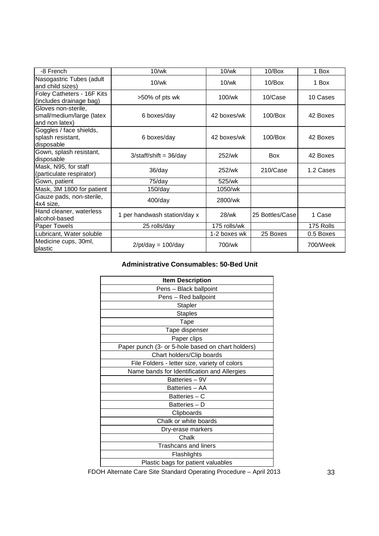| -8 French                                                          | $10$ /wk                     | $10$ /wk        | $10/B$ ox       | 1 Box     |
|--------------------------------------------------------------------|------------------------------|-----------------|-----------------|-----------|
| Nasogastric Tubes (adult<br>and child sizes)                       | $10$ /wk                     | $10$ /wk        | $10/B$ ox       | 1 Box     |
| Foley Catheters - 16F Kits<br>(includes drainage bag)              | >50% of pts wk               | $100\text{/wk}$ | 10/Case         | 10 Cases  |
| Gloves non-sterile,<br>small/medium/large (latex<br>and non latex) | 6 boxes/day                  | 42 boxes/wk     | $100/B$ ox      | 42 Boxes  |
| Goggles / face shields,<br>splash resistant,<br>disposable         | 6 boxes/day                  | 42 boxes/wk     | $100$ /Box      | 42 Boxes  |
| Gown, splash resistant,<br>disposable                              | $3/stat/f$ shift = $36$ /day | 252/wk          | <b>Box</b>      | 42 Boxes  |
| Mask, N95, for staff<br>(particulate respirator)                   | 36/day                       | 252/wk          | 210/Case        | 1.2 Cases |
| Gown, patient                                                      | 75/day                       | 525/wk          |                 |           |
| Mask, 3M 1800 for patient                                          | 150/day                      | 1050/wk         |                 |           |
| Gauze pads, non-sterile,<br>4x4 size,                              | $400$ /day                   | 2800/wk         |                 |           |
| Hand cleaner, waterless<br>alcohol-based                           | 1 per handwash station/day x | 28/wk           | 25 Bottles/Case | 1 Case    |
| Paper Towels                                                       | 25 rolls/day                 | 175 rolls/wk    |                 | 175 Rolls |
| Lubricant, Water soluble                                           |                              | 1-2 boxes wk    | 25 Boxes        | 0.5 Boxes |
| Medicine cups, 30ml,<br>plastic                                    | $2$ /pt/day = 100/day        | 700/wk          |                 | 700/Week  |

### **Administrative Consumables: 50-Bed Unit**

| <b>Item Description</b>                           |
|---------------------------------------------------|
| Pens - Black ballpoint                            |
| Pens - Red ballpoint                              |
| Stapler                                           |
| <b>Staples</b>                                    |
| Tape                                              |
| Tape dispenser                                    |
| Paper clips                                       |
| Paper punch (3- or 5-hole based on chart holders) |
| Chart holders/Clip boards                         |
| File Folders - letter size, variety of colors     |
| Name bands for Identification and Allergies       |
| Batteries - 9V                                    |
| Batteries - AA                                    |
| Batteries - C                                     |
| Batteries - D                                     |
| Clipboards                                        |
| Chalk or white boards                             |
| Dry-erase markers                                 |
| Chalk                                             |
| <b>Trashcans and liners</b>                       |
| Flashlights                                       |
| Plastic bags for patient valuables                |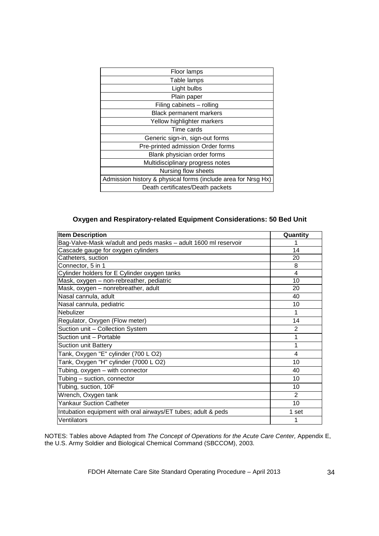| Floor lamps                                                   |
|---------------------------------------------------------------|
| Table lamps                                                   |
| Light bulbs                                                   |
| Plain paper                                                   |
| Filing cabinets - rolling                                     |
| Black permanent markers                                       |
| Yellow highlighter markers                                    |
| Time cards                                                    |
| Generic sign-in, sign-out forms                               |
| Pre-printed admission Order forms                             |
| Blank physician order forms                                   |
| Multidisciplinary progress notes                              |
| Nursing flow sheets                                           |
| Admission history & physical forms (include area for Nrsg Hx) |
| Death certificates/Death packets                              |

### **Oxygen and Respiratory-related Equipment Considerations: 50 Bed Unit**

| <b>Item Description</b>                                         | Quantity       |
|-----------------------------------------------------------------|----------------|
| Bag-Valve-Mask w/adult and peds masks - adult 1600 ml reservoir |                |
| Cascade gauge for oxygen cylinders                              | 14             |
| Catheters, suction                                              | 20             |
| Connector, 5 in 1                                               | 8              |
| Cylinder holders for E Cylinder oxygen tanks                    | 4              |
| Mask, oxygen - non-rebreather, pediatric                        | 10             |
| Mask, oxygen - nonrebreather, adult                             | 20             |
| Nasal cannula, adult                                            | 40             |
| Nasal cannula, pediatric                                        | 10             |
| Nebulizer                                                       | 1              |
| Regulator, Oxygen (Flow meter)                                  | 14             |
| Suction unit - Collection System                                | $\overline{2}$ |
| Suction unit - Portable                                         | 1              |
| <b>Suction unit Battery</b>                                     | 1              |
| Tank, Oxygen "E" cylinder (700 LO2)                             | 4              |
| Tank, Oxygen "H" cylinder (7000 L O2)                           | 10             |
| Tubing, oxygen - with connector                                 | 40             |
| Tubing - suction, connector                                     | 10             |
| Tubing, suction, 10F                                            | 10             |
| Wrench, Oxygen tank                                             | $\overline{2}$ |
| <b>Yankaur Suction Catheter</b>                                 | 10             |
| Intubation equipment with oral airways/ET tubes; adult & peds   | 1 set          |
| Ventilators                                                     | 1              |

NOTES: Tables above Adapted from The Concept of Operations for the Acute Care Center, Appendix E, the U.S. Army Soldier and Biological Chemical Command (SBCCOM), 2003.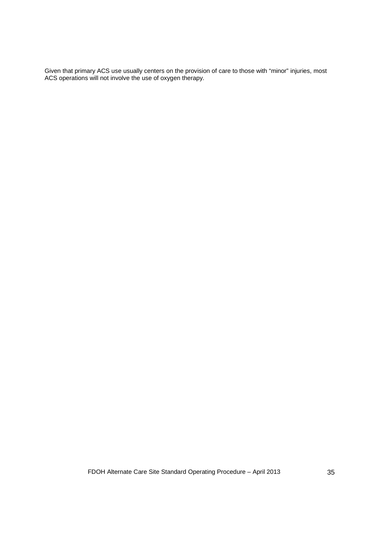Given that primary ACS use usually centers on the provision of care to those with "minor" injuries, most ACS operations will not involve the use of oxygen therapy.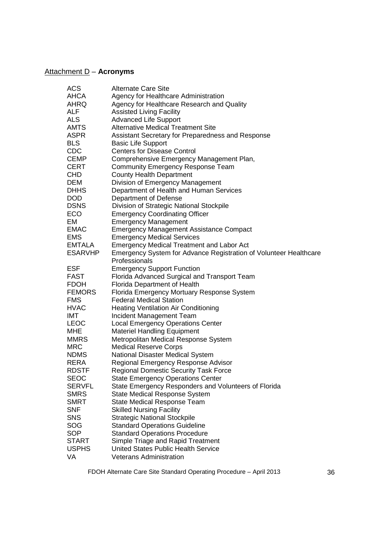# Attachment D – **Acronyms**

|                | <b>Alternate Care Site</b>                                        |
|----------------|-------------------------------------------------------------------|
| <b>ACS</b>     |                                                                   |
| AHCA           | Agency for Healthcare Administration                              |
| AHRQ           | Agency for Healthcare Research and Quality                        |
| <b>ALF</b>     | <b>Assisted Living Facility</b>                                   |
| <b>ALS</b>     | <b>Advanced Life Support</b>                                      |
| <b>AMTS</b>    | <b>Alternative Medical Treatment Site</b>                         |
| <b>ASPR</b>    | Assistant Secretary for Preparedness and Response                 |
| <b>BLS</b>     | <b>Basic Life Support</b>                                         |
| <b>CDC</b>     | <b>Centers for Disease Control</b>                                |
| <b>CEMP</b>    | Comprehensive Emergency Management Plan,                          |
| <b>CERT</b>    | <b>Community Emergency Response Team</b>                          |
| CHD.           | <b>County Health Department</b>                                   |
| <b>DEM</b>     | Division of Emergency Management                                  |
| <b>DHHS</b>    | Department of Health and Human Services                           |
| DOD            | Department of Defense                                             |
| <b>DSNS</b>    | Division of Strategic National Stockpile                          |
| ECO            | <b>Emergency Coordinating Officer</b>                             |
| EM             | <b>Emergency Management</b>                                       |
| <b>EMAC</b>    |                                                                   |
|                | <b>Emergency Management Assistance Compact</b>                    |
| <b>EMS</b>     | <b>Emergency Medical Services</b>                                 |
| <b>EMTALA</b>  | <b>Emergency Medical Treatment and Labor Act</b>                  |
| <b>ESARVHP</b> | Emergency System for Advance Registration of Volunteer Healthcare |
|                | Professionals                                                     |
| <b>ESF</b>     | <b>Emergency Support Function</b>                                 |
| <b>FAST</b>    | Florida Advanced Surgical and Transport Team                      |
| <b>FDOH</b>    | Florida Department of Health                                      |
| <b>FEMORS</b>  | Florida Emergency Mortuary Response System                        |
| <b>FMS</b>     | <b>Federal Medical Station</b>                                    |
| <b>HVAC</b>    | <b>Heating Ventilation Air Conditioning</b>                       |
| <b>IMT</b>     | Incident Management Team                                          |
| <b>LEOC</b>    | <b>Local Emergency Operations Center</b>                          |
| <b>MHE</b>     | <b>Materiel Handling Equipment</b>                                |
| <b>MMRS</b>    | Metropolitan Medical Response System                              |
| <b>MRC</b>     | <b>Medical Reserve Corps</b>                                      |
| <b>NDMS</b>    | National Disaster Medical System                                  |
| <b>RERA</b>    | Regional Emergency Response Advisor                               |
| <b>RDSTF</b>   | <b>Regional Domestic Security Task Force</b>                      |
| <b>SEOC</b>    | <b>State Emergency Operations Center</b>                          |
| <b>SERVFL</b>  | State Emergency Responders and Volunteers of Florida              |
| <b>SMRS</b>    | <b>State Medical Response System</b>                              |
| <b>SMRT</b>    | <b>State Medical Response Team</b>                                |
| <b>SNF</b>     | <b>Skilled Nursing Facility</b>                                   |
| SNS            | <b>Strategic National Stockpile</b>                               |
| SOG            | <b>Standard Operations Guideline</b>                              |
| <b>SOP</b>     | <b>Standard Operations Procedure</b>                              |
| <b>START</b>   | Simple Triage and Rapid Treatment                                 |
| <b>USPHS</b>   | <b>United States Public Health Service</b>                        |
|                |                                                                   |
| VA             | <b>Veterans Administration</b>                                    |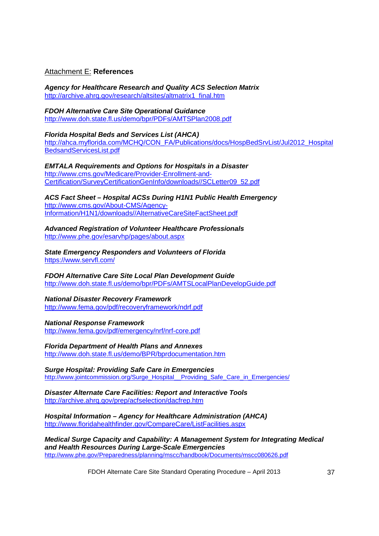### Attachment E: **References**

**Agency for Healthcare Research and Quality ACS Selection Matrix**  http://archive.ahrq.gov/research/altsites/altmatrix1\_final.htm

**FDOH Alternative Care Site Operational Guidance**  http://www.doh.state.fl.us/demo/bpr/PDFs/AMTSPlan2008.pdf

**Florida Hospital Beds and Services List (AHCA)**  http://ahca.myflorida.com/MCHQ/CON\_FA/Publications/docs/HospBedSrvList/Jul2012\_Hospital BedsandServicesList.pdf

**EMTALA Requirements and Options for Hospitals in a Disaster**  http://www.cms.gov/Medicare/Provider-Enrollment-and-Certification/SurveyCertificationGenInfo/downloads//SCLetter09\_52.pdf

**ACS Fact Sheet – Hospital ACSs During H1N1 Public Health Emergency**  http://www.cms.gov/About-CMS/Agency-Information/H1N1/downloads//AlternativeCareSiteFactSheet.pdf

**Advanced Registration of Volunteer Healthcare Professionals**  http://www.phe.gov/esarvhp/pages/about.aspx

**State Emergency Responders and Volunteers of Florida**  https://www.servfl.com/

**FDOH Alternative Care Site Local Plan Development Guide**  http://www.doh.state.fl.us/demo/bpr/PDFs/AMTSLocalPlanDevelopGuide.pdf

**National Disaster Recovery Framework**  http://www.fema.gov/pdf/recoveryframework/ndrf.pdf

#### **National Response Framework**

http://www.fema.gov/pdf/emergency/nrf/nrf-core.pdf

**Florida Department of Health Plans and Annexes**  http://www.doh.state.fl.us/demo/BPR/bprdocumentation.htm

**Surge Hospital: Providing Safe Care in Emergencies**  http://www.jointcommission.org/Surge\_Hospital\_Providing\_Safe\_Care\_in\_Emergencies/

**Disaster Alternate Care Facilities: Report and Interactive Tools**  http://archive.ahrq.gov/prep/acfselection/dacfrep.htm

**Hospital Information – Agency for Healthcare Administration (AHCA)**  http://www.floridahealthfinder.gov/CompareCare/ListFacilities.aspx

**Medical Surge Capacity and Capability: A Management System for Integrating Medical and Health Resources During Large-Scale Emergencies** http://www.phe.gov/Preparedness/planning/mscc/handbook/Documents/mscc080626.pdf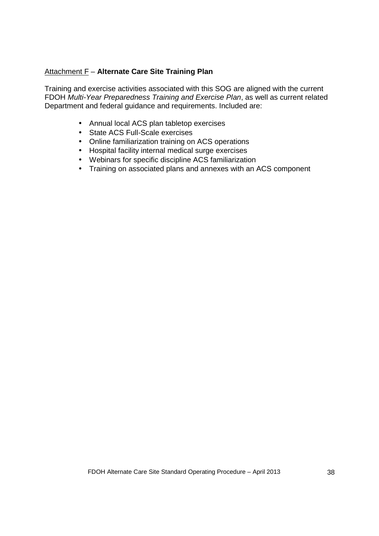### Attachment F – **Alternate Care Site Training Plan**

Training and exercise activities associated with this SOG are aligned with the current FDOH Multi-Year Preparedness Training and Exercise Plan, as well as current related Department and federal guidance and requirements. Included are:

- Annual local ACS plan tabletop exercises
- State ACS Full-Scale exercises
- Online familiarization training on ACS operations
- Hospital facility internal medical surge exercises
- Webinars for specific discipline ACS familiarization
- Training on associated plans and annexes with an ACS component